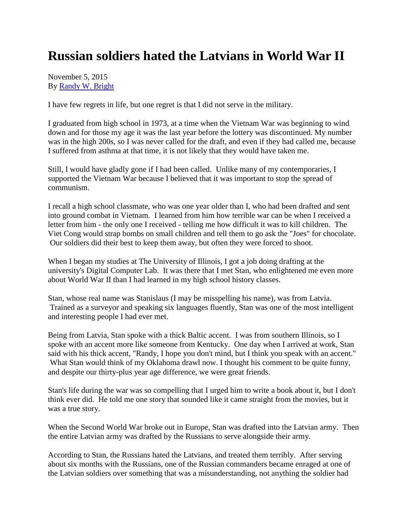## **Russian soldiers hated the Latvians in World War II**

November 5, 2015 By [Randy W. Bright](http://www.tulsabeacon.com/author/slug-o6yd1v)

I have few regrets in life, but one regret is that I did not serve in the military.

I graduated from high school in 1973, at a time when the Vietnam War was beginning to wind down and for those my age it was the last year before the lottery was discontinued. My number was in the high 200s, so I was never called for the draft, and even if they had called me, because I suffered from asthma at that time, it is not likely that they would have taken me.

Still, I would have gladly gone if I had been called. Unlike many of my contemporaries, I supported the Vietnam War because I believed that it was important to stop the spread of communism.

I recall a high school classmate, who was one year older than I, who had been drafted and sent into ground combat in Vietnam. I learned from him how terrible war can be when I received a letter from him - the only one I received - telling me how difficult it was to kill children. The Viet Cong would strap bombs on small children and tell them to go ask the "Joes" for chocolate. Our soldiers did their best to keep them away, but often they were forced to shoot.

When I began my studies at The University of Illinois, I got a job doing drafting at the university's Digital Computer Lab. It was there that I met Stan, who enlightened me even more about World War II than I had learned in my high school history classes.

Stan, whose real name was Stanislaus (I may be misspelling his name), was from Latvia. Trained as a surveyor and speaking six languages fluently, Stan was one of the most intelligent and interesting people I had ever met.

Being from Latvia, Stan spoke with a thick Baltic accent. I was from southern Illinois, so I spoke with an accent more like someone from Kentucky. One day when I arrived at work, Stan said with his thick accent, "Randy, I hope you don't mind, but I think you speak with an accent." What Stan would think of my Oklahoma drawl now. I thought his comment to be quite funny, and despite our thirty-plus year age difference, we were great friends.

Stan's life during the war was so compelling that I urged him to write a book about it, but I don't think ever did. He told me one story that sounded like it came straight from the movies, but it was a true story.

When the Second World War broke out in Europe, Stan was drafted into the Latvian army. Then the entire Latvian army was drafted by the Russians to serve alongside their army.

According to Stan, the Russians hated the Latvians, and treated them terribly. After serving about six months with the Russians, one of the Russian commanders became enraged at one of the Latvian soldiers over something that was a misunderstanding, not anything the soldier had